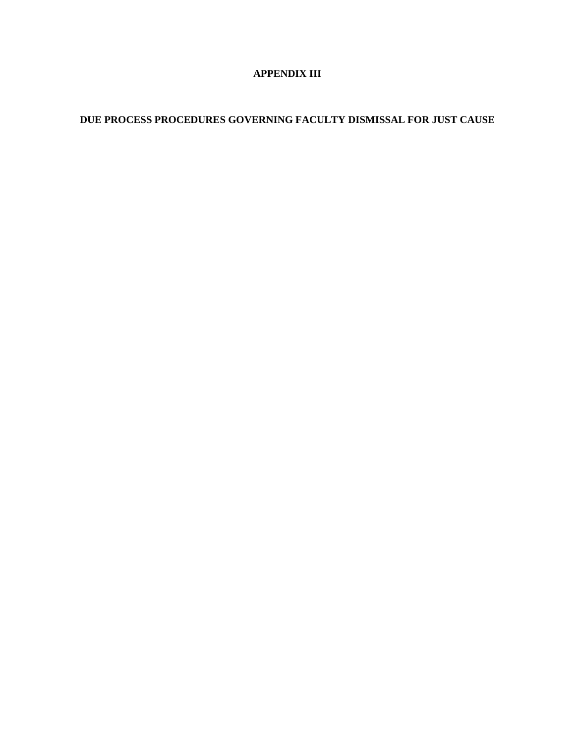## **APPENDIX III**

# **DUE PROCESS PROCEDURES GOVERNING FACULTY DISMISSAL FOR JUST CAUSE**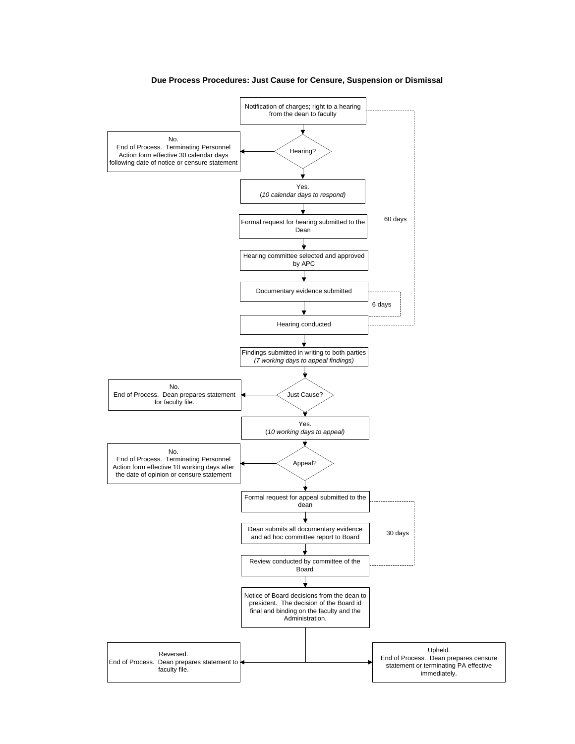

#### **Due Process Procedures: Just Cause for Censure, Suspension or Dismissal**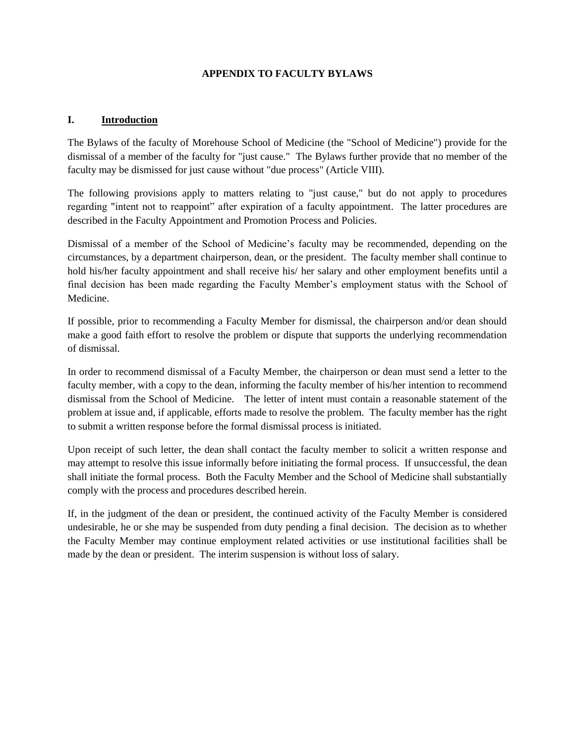#### **APPENDIX TO FACULTY BYLAWS**

#### **I. Introduction**

The Bylaws of the faculty of Morehouse School of Medicine (the "School of Medicine") provide for the dismissal of a member of the faculty for "just cause." The Bylaws further provide that no member of the faculty may be dismissed for just cause without "due process" (Article VIII).

The following provisions apply to matters relating to "just cause," but do not apply to procedures regarding "intent not to reappoint" after expiration of a faculty appointment. The latter procedures are described in the Faculty Appointment and Promotion Process and Policies.

Dismissal of a member of the School of Medicine's faculty may be recommended, depending on the circumstances, by a department chairperson, dean, or the president. The faculty member shall continue to hold his/her faculty appointment and shall receive his/ her salary and other employment benefits until a final decision has been made regarding the Faculty Member's employment status with the School of Medicine.

If possible, prior to recommending a Faculty Member for dismissal, the chairperson and/or dean should make a good faith effort to resolve the problem or dispute that supports the underlying recommendation of dismissal.

In order to recommend dismissal of a Faculty Member, the chairperson or dean must send a letter to the faculty member, with a copy to the dean, informing the faculty member of his/her intention to recommend dismissal from the School of Medicine. The letter of intent must contain a reasonable statement of the problem at issue and, if applicable, efforts made to resolve the problem. The faculty member has the right to submit a written response before the formal dismissal process is initiated.

Upon receipt of such letter, the dean shall contact the faculty member to solicit a written response and may attempt to resolve this issue informally before initiating the formal process. If unsuccessful, the dean shall initiate the formal process. Both the Faculty Member and the School of Medicine shall substantially comply with the process and procedures described herein.

If, in the judgment of the dean or president, the continued activity of the Faculty Member is considered undesirable, he or she may be suspended from duty pending a final decision. The decision as to whether the Faculty Member may continue employment related activities or use institutional facilities shall be made by the dean or president. The interim suspension is without loss of salary.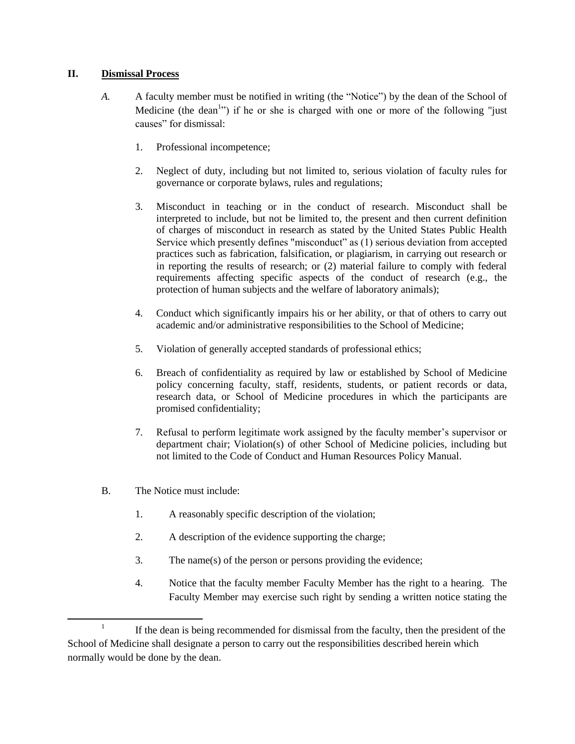#### **II. Dismissal Process**

- *A.* A faculty member must be notified in writing (the "Notice") by the dean of the School of Medicine (the dean<sup>1</sup>) if he or she is charged with one or more of the following "just" causes" for dismissal:
	- 1. Professional incompetence;
	- 2. Neglect of duty, including but not limited to, serious violation of faculty rules for governance or corporate bylaws, rules and regulations;
	- 3. Misconduct in teaching or in the conduct of research. Misconduct shall be interpreted to include, but not be limited to, the present and then current definition of charges of misconduct in research as stated by the United States Public Health Service which presently defines "misconduct" as (1) serious deviation from accepted practices such as fabrication, falsification, or plagiarism, in carrying out research or in reporting the results of research; or (2) material failure to comply with federal requirements affecting specific aspects of the conduct of research (e.g., the protection of human subjects and the welfare of laboratory animals);
	- 4. Conduct which significantly impairs his or her ability, or that of others to carry out academic and/or administrative responsibilities to the School of Medicine;
	- 5. Violation of generally accepted standards of professional ethics;
	- 6. Breach of confidentiality as required by law or established by School of Medicine policy concerning faculty, staff, residents, students, or patient records or data, research data, or School of Medicine procedures in which the participants are promised confidentiality;
	- 7. Refusal to perform legitimate work assigned by the faculty member's supervisor or department chair; Violation(s) of other School of Medicine policies, including but not limited to the Code of Conduct and Human Resources Policy Manual.
- B. The Notice must include:

 $\overline{\phantom{a}}$ 

- 1. A reasonably specific description of the violation;
- 2. A description of the evidence supporting the charge;
- 3. The name(s) of the person or persons providing the evidence;
- 4. Notice that the faculty member Faculty Member has the right to a hearing. The Faculty Member may exercise such right by sending a written notice stating the

<sup>1</sup> If the dean is being recommended for dismissal from the faculty, then the president of the School of Medicine shall designate a person to carry out the responsibilities described herein which normally would be done by the dean.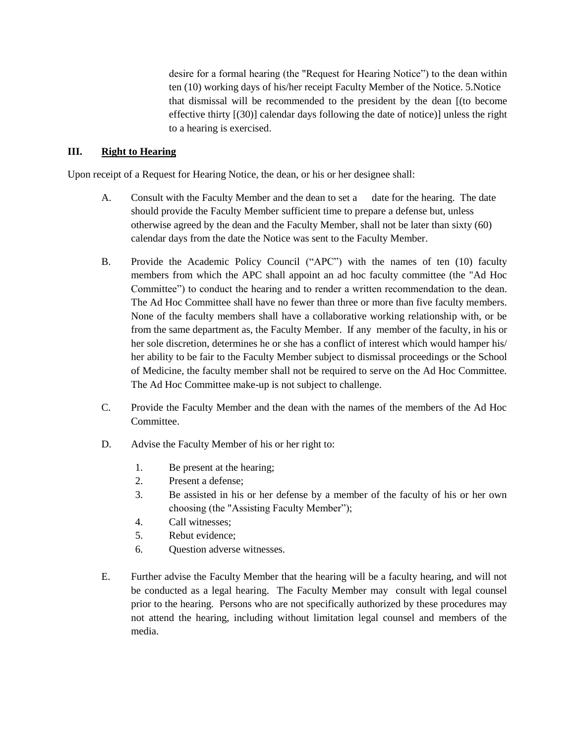desire for a formal hearing (the "Request for Hearing Notice") to the dean within ten (10) working days of his/her receipt Faculty Member of the Notice. 5.Notice that dismissal will be recommended to the president by the dean [(to become effective thirty [(30)] calendar days following the date of notice)] unless the right to a hearing is exercised.

#### **III. Right to Hearing**

Upon receipt of a Request for Hearing Notice, the dean, or his or her designee shall:

- A. Consult with the Faculty Member and the dean to set a date for the hearing. The date should provide the Faculty Member sufficient time to prepare a defense but, unless otherwise agreed by the dean and the Faculty Member, shall not be later than sixty (60) calendar days from the date the Notice was sent to the Faculty Member.
- B. Provide the Academic Policy Council ("APC") with the names of ten (10) faculty members from which the APC shall appoint an ad hoc faculty committee (the "Ad Hoc Committee") to conduct the hearing and to render a written recommendation to the dean. The Ad Hoc Committee shall have no fewer than three or more than five faculty members. None of the faculty members shall have a collaborative working relationship with, or be from the same department as, the Faculty Member. If any member of the faculty, in his or her sole discretion, determines he or she has a conflict of interest which would hamper his/ her ability to be fair to the Faculty Member subject to dismissal proceedings or the School of Medicine, the faculty member shall not be required to serve on the Ad Hoc Committee. The Ad Hoc Committee make-up is not subject to challenge.
- C. Provide the Faculty Member and the dean with the names of the members of the Ad Hoc Committee.
- D. Advise the Faculty Member of his or her right to:
	- 1. Be present at the hearing;
	- 2. Present a defense;
	- 3. Be assisted in his or her defense by a member of the faculty of his or her own choosing (the "Assisting Faculty Member");
	- 4. Call witnesses;
	- 5. Rebut evidence;
	- 6. Question adverse witnesses.
- E. Further advise the Faculty Member that the hearing will be a faculty hearing, and will not be conducted as a legal hearing. The Faculty Member may consult with legal counsel prior to the hearing. Persons who are not specifically authorized by these procedures may not attend the hearing, including without limitation legal counsel and members of the media.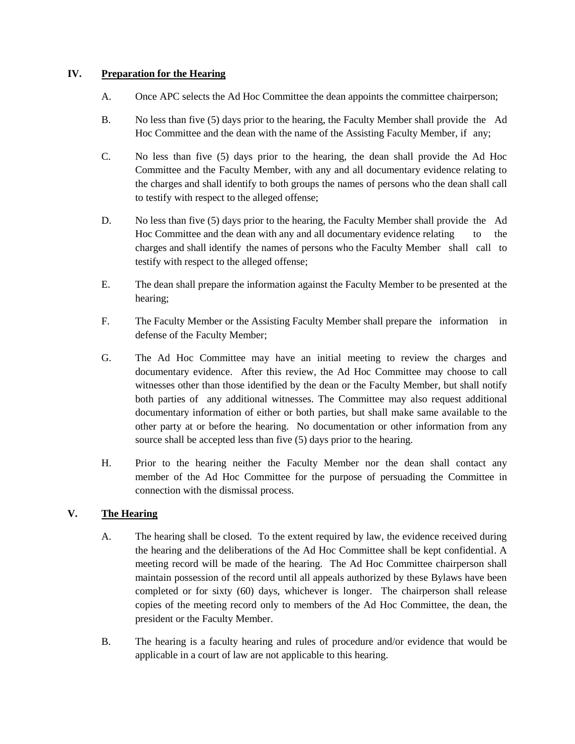#### **IV. Preparation for the Hearing**

- A. Once APC selects the Ad Hoc Committee the dean appoints the committee chairperson;
- B. No less than five (5) days prior to the hearing, the Faculty Member shall provide the Ad Hoc Committee and the dean with the name of the Assisting Faculty Member, if any;
- C. No less than five (5) days prior to the hearing, the dean shall provide the Ad Hoc Committee and the Faculty Member, with any and all documentary evidence relating to the charges and shall identify to both groups the names of persons who the dean shall call to testify with respect to the alleged offense;
- D. No less than five (5) days prior to the hearing, the Faculty Member shall provide the Ad Hoc Committee and the dean with any and all documentary evidence relating to the charges and shall identify the names of persons who the Faculty Member shall call to testify with respect to the alleged offense;
- E. The dean shall prepare the information against the Faculty Member to be presented at the hearing;
- F. The Faculty Member or the Assisting Faculty Member shall prepare the information in defense of the Faculty Member;
- G. The Ad Hoc Committee may have an initial meeting to review the charges and documentary evidence. After this review, the Ad Hoc Committee may choose to call witnesses other than those identified by the dean or the Faculty Member, but shall notify both parties of any additional witnesses. The Committee may also request additional documentary information of either or both parties, but shall make same available to the other party at or before the hearing. No documentation or other information from any source shall be accepted less than five (5) days prior to the hearing.
- H. Prior to the hearing neither the Faculty Member nor the dean shall contact any member of the Ad Hoc Committee for the purpose of persuading the Committee in connection with the dismissal process.

### **V. The Hearing**

- A. The hearing shall be closed. To the extent required by law, the evidence received during the hearing and the deliberations of the Ad Hoc Committee shall be kept confidential. A meeting record will be made of the hearing. The Ad Hoc Committee chairperson shall maintain possession of the record until all appeals authorized by these Bylaws have been completed or for sixty (60) days, whichever is longer. The chairperson shall release copies of the meeting record only to members of the Ad Hoc Committee, the dean, the president or the Faculty Member.
- B. The hearing is a faculty hearing and rules of procedure and/or evidence that would be applicable in a court of law are not applicable to this hearing.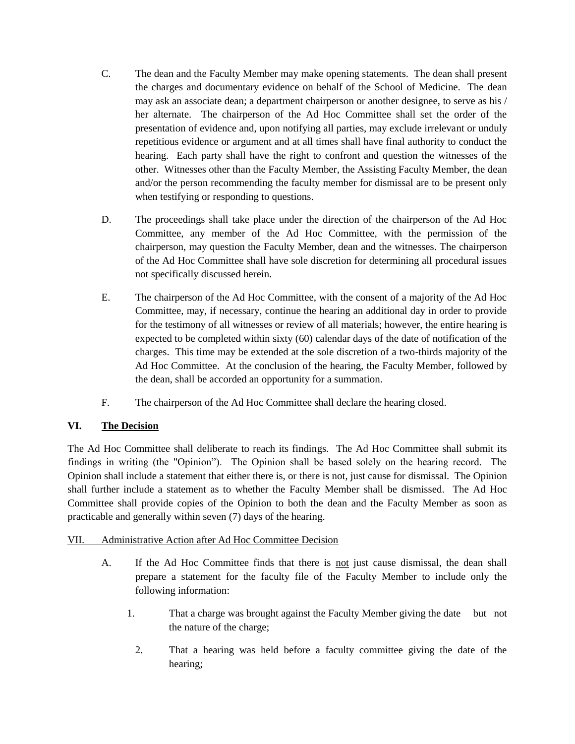- C. The dean and the Faculty Member may make opening statements. The dean shall present the charges and documentary evidence on behalf of the School of Medicine. The dean may ask an associate dean; a department chairperson or another designee, to serve as his / her alternate. The chairperson of the Ad Hoc Committee shall set the order of the presentation of evidence and, upon notifying all parties, may exclude irrelevant or unduly repetitious evidence or argument and at all times shall have final authority to conduct the hearing. Each party shall have the right to confront and question the witnesses of the other. Witnesses other than the Faculty Member, the Assisting Faculty Member, the dean and/or the person recommending the faculty member for dismissal are to be present only when testifying or responding to questions.
- D. The proceedings shall take place under the direction of the chairperson of the Ad Hoc Committee, any member of the Ad Hoc Committee, with the permission of the chairperson, may question the Faculty Member, dean and the witnesses. The chairperson of the Ad Hoc Committee shall have sole discretion for determining all procedural issues not specifically discussed herein.
- E. The chairperson of the Ad Hoc Committee, with the consent of a majority of the Ad Hoc Committee, may, if necessary, continue the hearing an additional day in order to provide for the testimony of all witnesses or review of all materials; however, the entire hearing is expected to be completed within sixty (60) calendar days of the date of notification of the charges. This time may be extended at the sole discretion of a two-thirds majority of the Ad Hoc Committee. At the conclusion of the hearing, the Faculty Member, followed by the dean, shall be accorded an opportunity for a summation.
- F. The chairperson of the Ad Hoc Committee shall declare the hearing closed.

# **VI. The Decision**

The Ad Hoc Committee shall deliberate to reach its findings. The Ad Hoc Committee shall submit its findings in writing (the "Opinion"). The Opinion shall be based solely on the hearing record. The Opinion shall include a statement that either there is, or there is not, just cause for dismissal. The Opinion shall further include a statement as to whether the Faculty Member shall be dismissed. The Ad Hoc Committee shall provide copies of the Opinion to both the dean and the Faculty Member as soon as practicable and generally within seven (7) days of the hearing.

# VII. Administrative Action after Ad Hoc Committee Decision

- A. If the Ad Hoc Committee finds that there is not just cause dismissal, the dean shall prepare a statement for the faculty file of the Faculty Member to include only the following information:
	- 1. That a charge was brought against the Faculty Member giving the date but not the nature of the charge;
		- 2. That a hearing was held before a faculty committee giving the date of the hearing;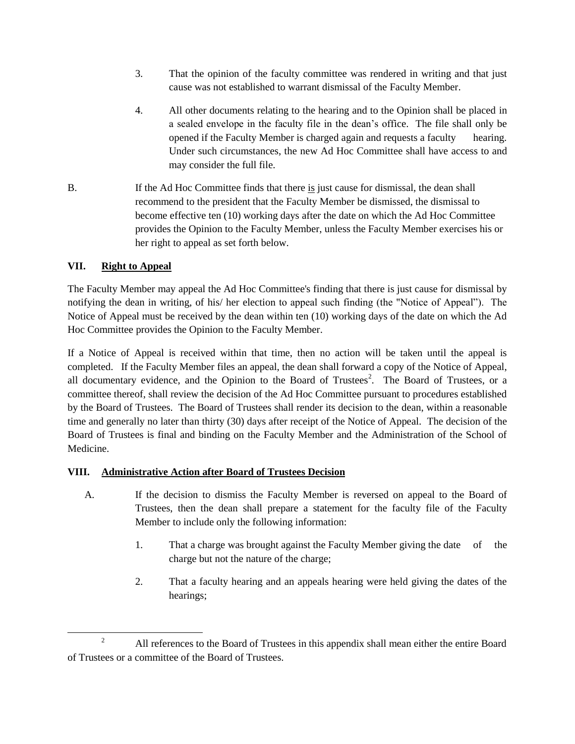- 3. That the opinion of the faculty committee was rendered in writing and that just cause was not established to warrant dismissal of the Faculty Member.
- 4. All other documents relating to the hearing and to the Opinion shall be placed in a sealed envelope in the faculty file in the dean's office. The file shall only be opened if the Faculty Member is charged again and requests a faculty hearing. Under such circumstances, the new Ad Hoc Committee shall have access to and may consider the full file.
- B. If the Ad Hoc Committee finds that there is just cause for dismissal, the dean shall recommend to the president that the Faculty Member be dismissed, the dismissal to become effective ten (10) working days after the date on which the Ad Hoc Committee provides the Opinion to the Faculty Member, unless the Faculty Member exercises his or her right to appeal as set forth below.

# **VII. Right to Appeal**

The Faculty Member may appeal the Ad Hoc Committee's finding that there is just cause for dismissal by notifying the dean in writing, of his/ her election to appeal such finding (the "Notice of Appeal"). The Notice of Appeal must be received by the dean within ten (10) working days of the date on which the Ad Hoc Committee provides the Opinion to the Faculty Member.

If a Notice of Appeal is received within that time, then no action will be taken until the appeal is completed. If the Faculty Member files an appeal, the dean shall forward a copy of the Notice of Appeal, all documentary evidence, and the Opinion to the Board of Trustees<sup>2</sup>. The Board of Trustees, or a committee thereof, shall review the decision of the Ad Hoc Committee pursuant to procedures established by the Board of Trustees. The Board of Trustees shall render its decision to the dean, within a reasonable time and generally no later than thirty (30) days after receipt of the Notice of Appeal. The decision of the Board of Trustees is final and binding on the Faculty Member and the Administration of the School of Medicine.

### **VIII. Administrative Action after Board of Trustees Decision**

- A. If the decision to dismiss the Faculty Member is reversed on appeal to the Board of Trustees, then the dean shall prepare a statement for the faculty file of the Faculty Member to include only the following information:
	- 1. That a charge was brought against the Faculty Member giving the date of the charge but not the nature of the charge;
	- 2. That a faculty hearing and an appeals hearing were held giving the dates of the hearings;

 $\overline{\phantom{a}}$ <sup>2</sup> All references to the Board of Trustees in this appendix shall mean either the entire Board of Trustees or a committee of the Board of Trustees.